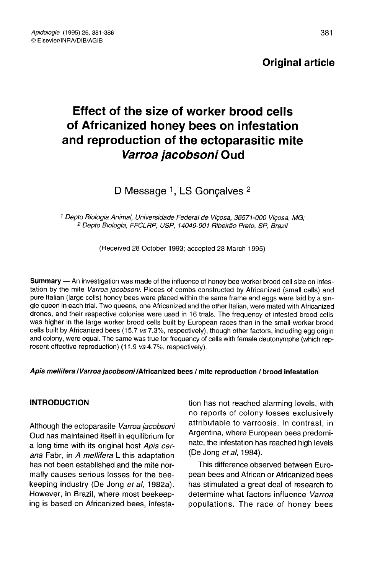# Original article

# Effect of the size of worker brood cells of Africanized honey bees on infestation and reproduction of the ectoparasitic mite Varroa jacobsoni Oud

D Message <sup>1</sup>, LS Goncalves <sup>2</sup>

<sup>1</sup> Depto Biologia Animal, Universidade Federal de Viçosa, 36571-000 Viçosa, MG; <sup>2</sup> Depto Biologia, FFCLRP, USP, 14049-901 Ribeirão Preto, SP, Brazil

(Received 28 October 1993; accepted 28 March 1995)

Summary — An investigation was made of the influence of honey bee worker brood cell size on infestation by the mite Varroa jacobsoni. Pieces of combs constructed by Africanized (small cells) and pure Italian (large cells) honey bees were placed within the same frame and eggs were laid by a single queen in each trial. Two queens, one Africanized and the other Italian, were mated with Africanized drones, and their respective colonies were used in 16 trials. The frequency of infested brood cells was higher in the large worker brood cells built by European races than in the small worker brood cells built by Africanized bees (15.7 vs 7.3%, respectively), though other factors, including egg origin and colony, were equal. The same was true for frequency of cells with female deutonymphs (which rep resent effective reproduction) (11.9 vs 4.7%, respectively).

#### Apis mellifera / Varroa jacobsoni / Africanized bees / mite reproduction / brood infestation

## INTRODUCTION

Although the ectoparasite Varroa jacobsoni Oud has maintained itself in equilibrium for a long time with its original host Apis cerana Fabr, in A mellifera L this adaptation has not been established and the mite normally causes serious losses for the beekeeping industry (De Jong et al, 1982a). However, in Brazil, where most beekeeping is based on Africanized bees, infestation has not reached alarming levels, with no reports of colony losses exclusively attributable to varroosis. In contrast, in Argentina, where European bees predominate, the infestation has reached high levels (De Jong et al, 1984).

This difference observed between European bees and African or Africanized bees has stimulated a great deal of research to determine what factors influence Varroa populations. The race of honey bees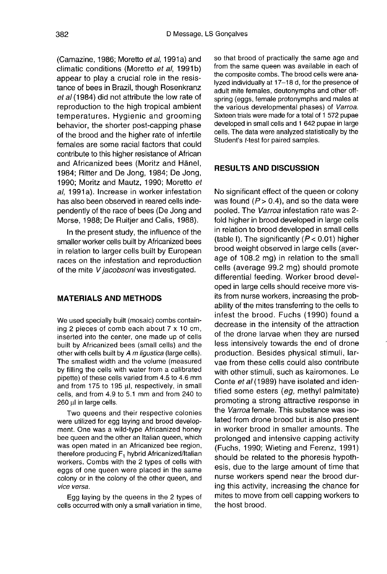(Camazine, 1986; Moretto et al, 1991a) and climatic conditions (Moretto et al, 1991b) appear to play a crucial role in the resistance of bees in Brazil, though Rosenkranz et al (1984) did not attribute the low rate of reproduction to the high tropical ambient temperatures. Hygienic and grooming behavior, the shorter post-capping phase of the brood and the higher rate of infertile females are some racial factors that could contribute to this higher resistance of African and Africanized bees (Moritz and Hänel, 1984; Ritter and De Jong, 1984; De Jong, 1990; Moritz and Mautz, 1990; Moretto et al, 1991a). Increase in worker infestation has also been observed in reared cells independently of the race of bees (De Jong and Morse, 1988; De Ruitjer and Calis, 1988).

In the present study, the influence of the smaller worker cells built by Africanized bees in relation to larger cells built by European races on the infestation and reproduction of the mite V jacobsoni was investigated.

# MATERIALS AND METHODS

We used specially built (mosaic) combs containing 2 pieces of comb each about 7 x 10 cm, inserted into the center, one made up of cells built by Africanized bees (small cells) and the other with cells built by A m ligustica (large cells). The smallest width and the volume (measured by filling the cells with water from a calibrated pipette) of these cells varied from 4.5 to 4.6 mm and from 175 to 195 μl, respectively, in small cells, and from 4.9 to 5.1 mm and from 240 to 260 μl in large cells.

Two queens and their respective colonies<br>were utilized for egg laying and brood development. One was a wild-type Africanized honey bee queen and the other an Italian queen, which was open mated in an Africanized bee region, therefore producing F, hybrid Africanized/Italian workers. Combs with the 2 types of cells with eggs of one queen were placed in the same colony or in the colony of the other queen, and vice versa.

Egg laying by the queens in the 2 types of cells occurred with only a small variation in time, so that brood of practically the same age and from the same queen was available in each of the composite combs. The brood cells were analyzed individually at 17-18 d, for the presence of adult mite females, deutonymphs and other offspring (eggs, female protonymphs and males at the various developmental phases) of Varroa. Sixteen trials were made for a total of 1 572 pupae developed in small cells and 1 642 pupae in large cells. The data were analyzed statistically by the Student's t-test for paired samples.

#### RESULTS AND DISCUSSION

No significant effect of the queen or colony was found ( $P > 0.4$ ), and so the data were pooled. The Varroa infestation rate was 2 fold higher in brood developed in large cells in relation to brood developed in small cells (table I). The significantly  $(P < 0.01)$  higher brood weight observed in large cells (average of 108.2 mg) in relation to the small cells (average 99.2 mg) should promote differential feeding. Worker brood developed in large cells should receive more visits from nurse workers, increasing the probability of the mites transferring to the cells to infest the brood. Fuchs (1990) found a decrease in the intensity of the attraction of the drone larvae when they are nursed less intensively towards the end of drone production. Besides physical stimuli, larvae from these cells could also contribute with other stimuli, such as kairomones. Le Conte et al (1989) have isolated and identified some esters (eg, methyl palmitate) promoting a strong attractive response in the Varroa female. This substance was isolated from drone brood but is also present in worker brood in smaller amounts. The prolonged and intensive capping activity (Fuchs, 1990; Wieting and Ferenz, 1991) should be related to the phoresis hypothesis, due to the large amount of time that nurse workers spend near the brood during this activity, increasing the chance for mites to move from cell capping workers to the host brood.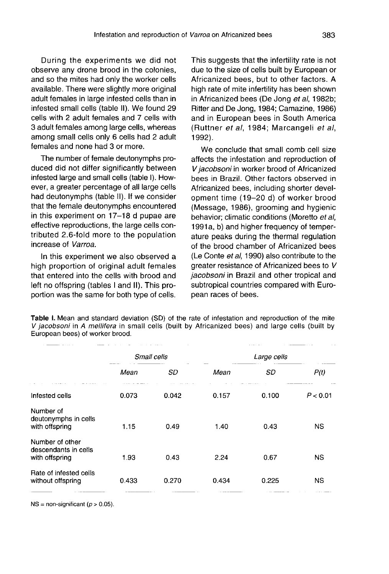During the experiments we did not observe any drone brood in the colonies, and so the mites had only the worker cells available. There were slightly more original adult females in large infested cells than in infested small cells (table II). We found 29 cells with 2 adult females and 7 cells with 3 adult females among large cells, whereas among small cells only 6 cells had 2 adult females and none had 3 or more.

The number of female deutonymphs produced did not differ significantly between infested large and small cells (table I). However, a greater percentage of all large cells had deutonymphs (table II). If we consider that the female deutonymphs encountered in this experiment on 17-18 d pupae are effective reproductions, the large cells contributed 2.6-fold more to the population increase of Varroa.

In this experiment we also observed a high proportion of original adult females that entered into the cells with brood and left no offspring (tables I and II). This proportion was the same for both type of cells.

This suggests that the infertility rate is not due to the size of cells built by European or Africanized bees, but to other factors. A high rate of mite infertility has been shown in Africanized bees (De Jong et al, 1982b; Ritter and De Jong, 1984; Camazine, 1986) and in European bees in South America (Ruttner et al, 1984; Marcangeli et al, 1992).

We conclude that small comb cell size affects the infestation and reproduction of V jacobsoni in worker brood of Africanized bees in Brazil. Other factors observed in Africanized bees, including shorter development time (19-20 d) of worker brood (Message, 1986), grooming and hygienic behavior; climatic conditions (Moretto et al, 1991a, b) and higher frequency of temperature peaks during the thermal regulation of the brood chamber of Africanized bees (Le Conte et al, 1990) also contribute to the greater resistance of Africanized bees to V jacobsoni in Brazil and other tropical and subtropical countries compared with European races of bees.

Table I. Mean and standard deviation (SD) of the rate of infestation and reproduction of the mite V jacobsoni in A mellifera in small cells (built by Africanized bees) and large cells (built by European bees) of worker brood.

|                                                           | Small cells |       | Large cells |       |           |
|-----------------------------------------------------------|-------------|-------|-------------|-------|-----------|
|                                                           | Mean        | SD    | Mean        | SD    | P(t)      |
| Infested cells                                            | 0.073       | 0.042 | 0.157       | 0.100 | P < 0.01  |
| Number of<br>deutonymphs in cells<br>with offspring       | 1.15        | 0.49  | 1.40        | 0.43  | <b>NS</b> |
| Number of other<br>descendants in cells<br>with offspring | 1.93        | 0.43  | 2.24        | 0.67  | <b>NS</b> |
| Rate of infested cells<br>without offspring               | 0.433       | 0.270 | 0.434       | 0.225 | NS        |
|                                                           |             |       |             |       |           |

 $NS = non-significant (p > 0.05).$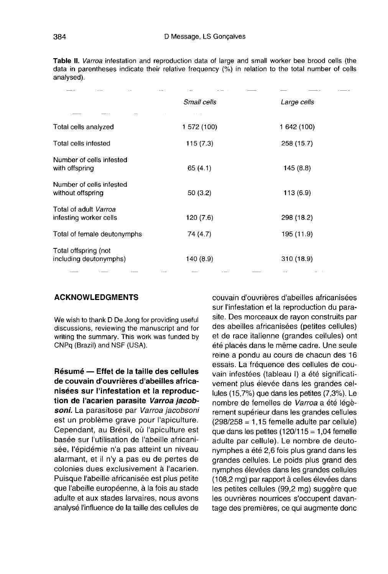Table II. Varroa infestation and reproduction data of large and small worker bee brood cells (the data in parentheses indicate their relative frequency (%) in relation to the total number of cells analysed).

|                                                 | Small cells | Large cells |  |
|-------------------------------------------------|-------------|-------------|--|
|                                                 |             |             |  |
| Total cells analyzed                            | 1 572 (100) | 1 642 (100) |  |
| Total cells infested                            | 115(7.3)    | 258 (15.7)  |  |
| Number of cells infested<br>with offspring      | 65 (4.1)    | 145(8.8)    |  |
| Number of cells infested<br>without offspring   | 50(3.2)     | 113(6.9)    |  |
| Total of adult Varroa<br>infesting worker cells | 120 (7.6)   | 298 (18.2)  |  |
| Total of female deutonymphs                     | 74 (4.7)    | 195 (11.9)  |  |
| Total offspring (not<br>including deutonymphs)  | 140 (8.9)   | 310 (18.9)  |  |
|                                                 |             |             |  |

#### ACKNOWLEDGMENTS

We wish to thank D De Jong for providing useful discussions, reviewing the manuscript and for writing the summary. This work was funded by CNPq (Brazil) and NSF (USA).

Résumé — Effet de la taille des cellules de couvain d'ouvrières d'abeilles africanisées sur l'infestation et la reproduction de l'acarien parasite Varroa jacobsoni. La parasitose par Varroa jacobsoni est un problème grave pour l'apiculture. Cependant, au Brésil, où l'apiculture est basée sur l'utilisation de l'abeille africanisée, l'épidémie n'a pas atteint un niveau alarmant, et il n'y a pas eu de pertes de colonies dues exclusivement à l'acarien. Puisque l'abeille africanisée est plus petite que l'abeille européenne, à la fois au stade adulte et aux stades larvaires, nous avons analysé l'influence de la taille des cellules de

couvain d'ouvrières d'abeilles africanisées sur l'infestation et la reproduction du parasite. Des morceaux de rayon construits par des abeilles africanisées (petites cellules) et de race italienne (grandes cellules) ont été placés dans le même cadre. Une seule reine a pondu au cours de chacun des 16 essais. La fréquence des cellules de couvain infestées (tableau I) a été significativement plus élevée dans les grandes cellules (15,7%) que dans les petites (7,3%). Le nombre de femelles de Varroa a été légè rement supérieur dans les grandes cellules  $(298/258 = 1,15$  femelle adulte par cellule) que dans les petites  $(120/115 = 1,04$  femelle adulte par cellule). Le nombre de deutonymphes a été 2,6 fois plus grand dans les grandes cellules. Le poids plus grand des nymphes élevées dans les grandes cellules (108,2 mg) par rapport à celles élevées dans les petites cellules (99,2 mg) suggère que les ouvrières nourrices s'occupent davantage des premières, ce qui augmente donc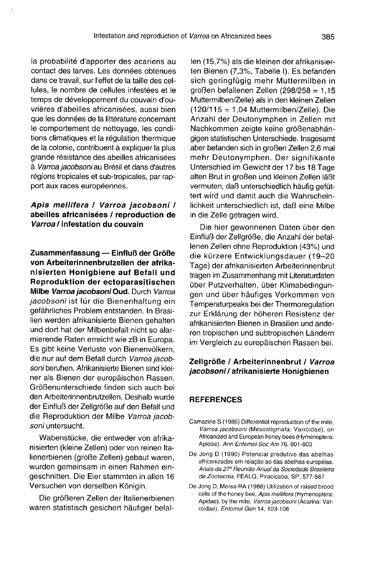la probabilité d'apporter des acariens au contact des larves. Les données obtenues dans ce travail, sur l'effet de la taille des cellules, le nombre de cellules infestées et le temps de développement du couvain d'ouvrières d'abeilles africanisées, aussi bien que les données de la littérature concernant le comportement de nettoyage, les conditions climatiques et la régulation thermique de la colonie, contribuent à expliquer la plus grande résistance des abeilles africanisées à Varroa jacobsoni au Brésil et dans d'autres régions tropicales et sub-tropicales, par rapport aux races européennes.

# Apis mellifera / Varroa jacobsoni / abeilles africanisées / reproduction de Varroa / infestation du couvain

Zusammenfassung — Einfluß der Größe von Arbeiterinnenbrutzellen der afrikanisierten Honigbiene auf Befall und Reproduktion der ectoparasitischen Milbe Varroa jacobsoni Oud. Durch Varroa jacobsoni ist für die Bienenhaltung ein gefährliches Problem entstanden. In Brasilien werden afrikanisierte Bienen gehalten und dort hat der Milbenbefall nicht so alarmierende Raten erreicht wie zB in Europa. Es gibt keine Verluste von Bienenvölkern, die nur auf dem Befall durch Varroa jacobsoni beruhen. Afrikanisierte Bienen sind kleiner als Bienen der europäischen Rassen. Größenunterschiede finden sich auch bei den Arbeiterinnenbrutzellen. Deshalb wurde der Einfluß der Zellgröße auf den Befall und die Reproduktion der Milbe Varroa jacobsoni untersucht.

Wabenstücke, die entweder von afrikanisierten (kleine Zellen) oder von reinen Italienerbienen (große Zellen) gebaut waren, wurden gemeinsam in einen Rahmen eingeschnitten. Die Eier stammten in allen 16 Versuchen von derselben Königin.

Die größeren Zellen der Italienerbienen waren statistisch gesichert häufiger befal-

len (15,7%) als die kleinen der afrikanisierten Bienen (7,3%, Tabelle I). Es befanden sich geringfügig mehr Muttermilben in großen befallenen Zellen (298/258 = 1,15 Muttermilben/Zelle) als in den kleinen Zellen (120/115 = 1,04 Muttermilben/Zelle). Die Anzahl der Deutonymphen in Zellen mit Nachkommen zeigte keine größenabhängigen statistischen Unterschiede. Insgesamt aber befanden sich in großen Zellen 2,6 mal mehr Deutonymphen. Der signifikante Unterschied im Gewicht der 17 bis 18 Tage alten Brut in großen und kleinen Zellen läßt vermuten, daß unterschiedlich häufig gefüt tert wird und damit auch die Wahrscheinlichkeit unterschiedlich ist, daß eine Milbe in die Zelle getragen wird.

Die hier gewonnenen Daten über den Einfluß der Zellgröße, die Anzahl der befallenen Zellen ohne Reproduktion (43%) und die kürzere Entwicklungsdauer (19-20 Tage) der afrikanisierten Arbeiterinnenbrut tragen im Zusammenhang mit Literaturdaten über Putzverhalten, über Klimabedingungen und über häufiges Vorkommen von Temperaturpeaks bei der Thermoregulation zur Erklärung der höheren Resistenz der afrikanisierten Bienen in Brasilien und anderen tropischen und subtropischen Ländern im Vergleich zu europäischen Rassen bei.

## Zellgröße / Arbeiterinnenbrut / Varroa jacobsoni / afrikanisierte Honigbienen

#### REFERENCES

- Camazine S (1986) Differential reproduction of the mite, Varroa jacobsoni (Mesostigmata: Varroidae), on Africanized and European honey bees (Hymenoptera: Apidae). Ann Entomol Soc Am 76, 801-803
- De Jong D (1990) Potencial produtivo das abelhas<br>africanizadas em relação ao das abelhas européias. Anais da 27ª Reunião Anual da Sociedade Brasileira de Zootecnia, FEALQ, Piracicaba, SP, 577-587
- De Jong D, Morse RA (1988) Utilization of raised brood cells of the honey bee, Apis mellifera (Hymenoptera: Apidae), by the mite, Varroa jacobsoni (Acarina: Varroidae). Entomol Gen 14, 103-106